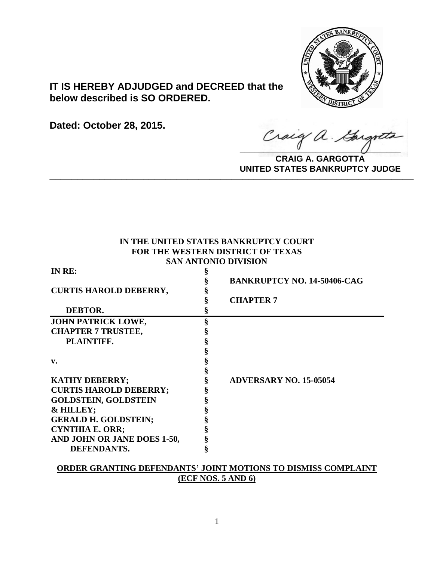

# **IT IS HEREBY ADJUDGED and DECREED that the below described is SO ORDERED.**

**Dated: October 28, 2015.**

Craig a Gargot

**CRAIG A. GARGOTTA UNITED STATES BANKRUPTCY JUDGE PRITED DIATED BARRACT TOT 00DCE** 

# **IN THE UNITED STATES BANKRUPTCY COURT FOR THE WESTERN DISTRICT OF TEXAS SAN ANTONIO DIVISION**

| IN RE:                        |   |                                    |
|-------------------------------|---|------------------------------------|
|                               |   | <b>BANKRUPTCY NO. 14-50406-CAG</b> |
| <b>CURTIS HAROLD DEBERRY,</b> |   |                                    |
|                               |   | <b>CHAPTER 7</b>                   |
| DEBTOR.                       |   |                                    |
| JOHN PATRICK LOWE,            | § |                                    |
| <b>CHAPTER 7 TRUSTEE,</b>     |   |                                    |
| PLAINTIFF.                    |   |                                    |
|                               |   |                                    |
| $\mathbf{v}$ .                |   |                                    |
|                               |   |                                    |
| <b>KATHY DEBERRY;</b>         |   | <b>ADVERSARY NO. 15-05054</b>      |
| <b>CURTIS HAROLD DEBERRY;</b> |   |                                    |
| <b>GOLDSTEIN, GOLDSTEIN</b>   |   |                                    |
| & HILLEY;                     |   |                                    |
| <b>GERALD H. GOLDSTEIN;</b>   |   |                                    |
| <b>CYNTHIA E. ORR;</b>        |   |                                    |
| AND JOHN OR JANE DOES 1-50,   |   |                                    |
| <b>DEFENDANTS.</b>            |   |                                    |

# **ORDER GRANTING DEFENDANTS' JOINT MOTIONS TO DISMISS COMPLAINT (ECF NOS. 5 AND 6)**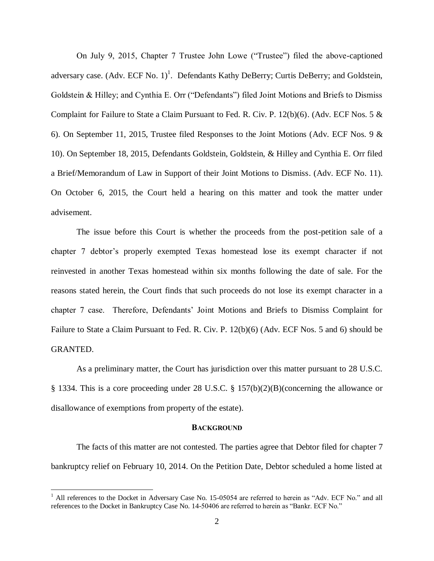On July 9, 2015, Chapter 7 Trustee John Lowe ("Trustee") filed the above-captioned adversary case.  $(Adv. ECF No. 1)<sup>1</sup>$ . Defendants Kathy DeBerry; Curtis DeBerry; and Goldstein, Goldstein & Hilley; and Cynthia E. Orr ("Defendants") filed Joint Motions and Briefs to Dismiss Complaint for Failure to State a Claim Pursuant to Fed. R. Civ. P.  $12(b)(6)$ . (Adv. ECF Nos. 5  $\&$ 6). On September 11, 2015, Trustee filed Responses to the Joint Motions (Adv. ECF Nos. 9 & 10). On September 18, 2015, Defendants Goldstein, Goldstein, & Hilley and Cynthia E. Orr filed a Brief/Memorandum of Law in Support of their Joint Motions to Dismiss. (Adv. ECF No. 11). On October 6, 2015, the Court held a hearing on this matter and took the matter under advisement.

The issue before this Court is whether the proceeds from the post-petition sale of a chapter 7 debtor's properly exempted Texas homestead lose its exempt character if not reinvested in another Texas homestead within six months following the date of sale. For the reasons stated herein, the Court finds that such proceeds do not lose its exempt character in a chapter 7 case. Therefore, Defendants' Joint Motions and Briefs to Dismiss Complaint for Failure to State a Claim Pursuant to Fed. R. Civ. P. 12(b)(6) (Adv. ECF Nos. 5 and 6) should be GRANTED.

As a preliminary matter, the Court has jurisdiction over this matter pursuant to 28 U.S.C. § 1334. This is a core proceeding under 28 U.S.C. § 157(b)(2)(B)(concerning the allowance or disallowance of exemptions from property of the estate).

#### **BACKGROUND**

The facts of this matter are not contested. The parties agree that Debtor filed for chapter 7 bankruptcy relief on February 10, 2014. On the Petition Date, Debtor scheduled a home listed at

 $\overline{a}$ 

 $1$  All references to the Docket in Adversary Case No. 15-05054 are referred to herein as "Adv. ECF No." and all references to the Docket in Bankruptcy Case No. 14-50406 are referred to herein as "Bankr. ECF No."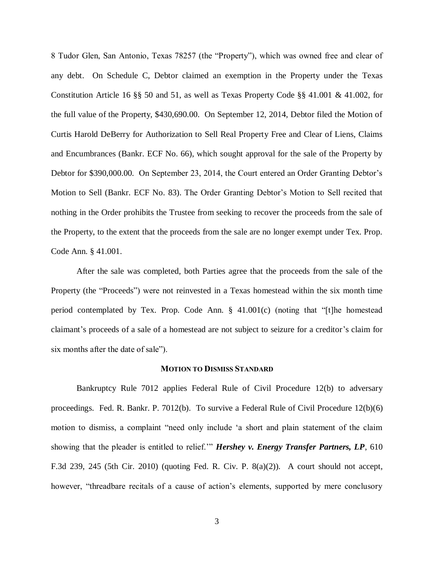8 Tudor Glen, San Antonio, Texas 78257 (the "Property"), which was owned free and clear of any debt. On Schedule C, Debtor claimed an exemption in the Property under the Texas Constitution Article 16 §§ 50 and 51, as well as Texas Property Code §§ 41.001 & 41.002, for the full value of the Property, \$430,690.00. On September 12, 2014, Debtor filed the Motion of Curtis Harold DeBerry for Authorization to Sell Real Property Free and Clear of Liens, Claims and Encumbrances (Bankr. ECF No. 66), which sought approval for the sale of the Property by Debtor for \$390,000.00. On September 23, 2014, the Court entered an Order Granting Debtor's Motion to Sell (Bankr. ECF No. 83). The Order Granting Debtor's Motion to Sell recited that nothing in the Order prohibits the Trustee from seeking to recover the proceeds from the sale of the Property, to the extent that the proceeds from the sale are no longer exempt under Tex. Prop. Code Ann. § 41.001.

After the sale was completed, both Parties agree that the proceeds from the sale of the Property (the "Proceeds") were not reinvested in a Texas homestead within the six month time period contemplated by Tex. Prop. Code Ann. § 41.001(c) (noting that "[t]he homestead claimant's proceeds of a sale of a homestead are not subject to seizure for a creditor's claim for six months after the date of sale").

#### **MOTION TO DISMISS STANDARD**

Bankruptcy Rule 7012 applies Federal Rule of Civil Procedure 12(b) to adversary proceedings. Fed. R. Bankr. P. 7012(b). To survive a Federal Rule of Civil Procedure 12(b)(6) motion to dismiss, a complaint "need only include 'a short and plain statement of the claim showing that the pleader is entitled to relief.'" *Hershey v. Energy Transfer Partners, LP*, 610 F.3d 239, 245 (5th Cir. 2010) (quoting Fed. R. Civ. P. 8(a)(2)). A court should not accept, however, "threadbare recitals of a cause of action's elements, supported by mere conclusory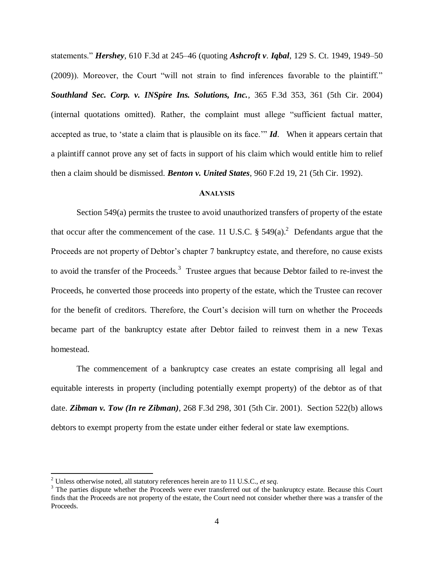statements." *Hershey*, 610 F.3d at 245–46 (quoting *Ashcroft v*. *Iqbal*, 129 S. Ct. 1949, 1949–50 (2009)). Moreover, the Court "will not strain to find inferences favorable to the plaintiff." *Southland Sec. Corp. v. INSpire Ins. Solutions, Inc.,* 365 F.3d 353, 361 (5th Cir. 2004) (internal quotations omitted). Rather, the complaint must allege "sufficient factual matter, accepted as true, to 'state a claim that is plausible on its face.'" *Id*. When it appears certain that a plaintiff cannot prove any set of facts in support of his claim which would entitle him to relief then a claim should be dismissed. *Benton v. United States*, 960 F.2d 19, 21 (5th Cir. 1992).

## **ANALYSIS**

Section 549(a) permits the trustee to avoid unauthorized transfers of property of the estate that occur after the commencement of the case. 11 U.S.C.  $\S$  549(a).<sup>2</sup> Defendants argue that the Proceeds are not property of Debtor's chapter 7 bankruptcy estate, and therefore, no cause exists to avoid the transfer of the Proceeds.<sup>3</sup> Trustee argues that because Debtor failed to re-invest the Proceeds, he converted those proceeds into property of the estate, which the Trustee can recover for the benefit of creditors. Therefore, the Court's decision will turn on whether the Proceeds became part of the bankruptcy estate after Debtor failed to reinvest them in a new Texas homestead.

The commencement of a bankruptcy case creates an estate comprising all legal and equitable interests in property (including potentially exempt property) of the debtor as of that date. *Zibman v. Tow (In re Zibman)*, 268 F.3d 298, 301 (5th Cir. 2001). Section 522(b) allows debtors to exempt property from the estate under either federal or state law exemptions.

 $\overline{\phantom{a}}$ 

<sup>2</sup> Unless otherwise noted, all statutory references herein are to 11 U.S.C., *et seq*.

<sup>&</sup>lt;sup>3</sup> The parties dispute whether the Proceeds were ever transferred out of the bankruptcy estate. Because this Court finds that the Proceeds are not property of the estate, the Court need not consider whether there was a transfer of the Proceeds.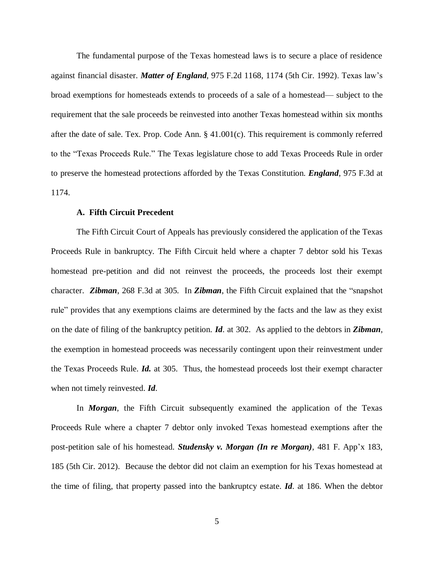The fundamental purpose of the Texas homestead laws is to secure a place of residence against financial disaster. *Matter of England*, 975 F.2d 1168, 1174 (5th Cir. 1992). Texas law's broad exemptions for homesteads extends to proceeds of a sale of a homestead— subject to the requirement that the sale proceeds be reinvested into another Texas homestead within six months after the date of sale. Tex. Prop. Code Ann. § 41.001(c). This requirement is commonly referred to the "Texas Proceeds Rule." The Texas legislature chose to add Texas Proceeds Rule in order to preserve the homestead protections afforded by the Texas Constitution. *England*, 975 F.3d at 1174.

## **A. Fifth Circuit Precedent**

The Fifth Circuit Court of Appeals has previously considered the application of the Texas Proceeds Rule in bankruptcy. The Fifth Circuit held where a chapter 7 debtor sold his Texas homestead pre-petition and did not reinvest the proceeds, the proceeds lost their exempt character. *Zibman*, 268 F.3d at 305. In *Zibman*, the Fifth Circuit explained that the "snapshot rule" provides that any exemptions claims are determined by the facts and the law as they exist on the date of filing of the bankruptcy petition. *Id*. at 302. As applied to the debtors in *Zibman*, the exemption in homestead proceeds was necessarily contingent upon their reinvestment under the Texas Proceeds Rule. *Id.* at 305. Thus, the homestead proceeds lost their exempt character when not timely reinvested. *Id*.

In *Morgan*, the Fifth Circuit subsequently examined the application of the Texas Proceeds Rule where a chapter 7 debtor only invoked Texas homestead exemptions after the post-petition sale of his homestead. *Studensky v. Morgan (In re Morgan)*, 481 F. App'x 183, 185 (5th Cir. 2012). Because the debtor did not claim an exemption for his Texas homestead at the time of filing, that property passed into the bankruptcy estate. *Id*. at 186. When the debtor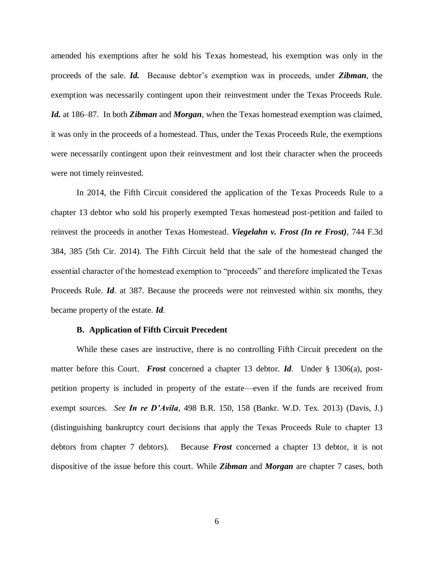amended his exemptions after he sold his Texas homestead, his exemption was only in the proceeds of the sale. *Id.* Because debtor's exemption was in proceeds, under *Zibman*, the exemption was necessarily contingent upon their reinvestment under the Texas Proceeds Rule. *Id.* at 186–87. In both *Zibman* and *Morgan*, when the Texas homestead exemption was claimed, it was only in the proceeds of a homestead. Thus, under the Texas Proceeds Rule, the exemptions were necessarily contingent upon their reinvestment and lost their character when the proceeds were not timely reinvested.

In 2014, the Fifth Circuit considered the application of the Texas Proceeds Rule to a chapter 13 debtor who sold his properly exempted Texas homestead post-petition and failed to reinvest the proceeds in another Texas Homestead. *Viegelahn v. Frost (In re Frost)*, 744 F.3d 384, 385 (5th Cir. 2014). The Fifth Circuit held that the sale of the homestead changed the essential character of the homestead exemption to "proceeds" and therefore implicated the Texas Proceeds Rule. *Id*. at 387. Because the proceeds were not reinvested within six months, they became property of the estate. *Id*.

## **B. Application of Fifth Circuit Precedent**

While these cases are instructive, there is no controlling Fifth Circuit precedent on the matter before this Court. *Frost* concerned a chapter 13 debtor. *Id*. Under § 1306(a), postpetition property is included in property of the estate—even if the funds are received from exempt sources. *See In re D'Avila*, 498 B.R. 150, 158 (Bankr. W.D. Tex. 2013) (Davis, J.) (distinguishing bankruptcy court decisions that apply the Texas Proceeds Rule to chapter 13 debtors from chapter 7 debtors). Because *Frost* concerned a chapter 13 debtor, it is not dispositive of the issue before this court. While *Zibman* and *Morgan* are chapter 7 cases, both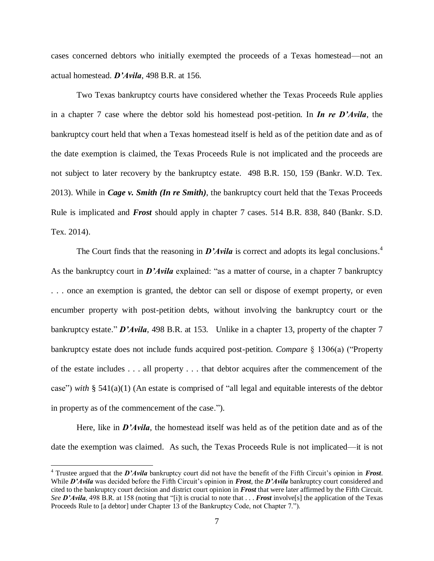cases concerned debtors who initially exempted the proceeds of a Texas homestead—not an actual homestead. *D'Avila*, 498 B.R. at 156.

Two Texas bankruptcy courts have considered whether the Texas Proceeds Rule applies in a chapter 7 case where the debtor sold his homestead post-petition. In *In re D'Avila*, the bankruptcy court held that when a Texas homestead itself is held as of the petition date and as of the date exemption is claimed, the Texas Proceeds Rule is not implicated and the proceeds are not subject to later recovery by the bankruptcy estate. 498 B.R. 150, 159 (Bankr. W.D. Tex. 2013). While in *Cage v. Smith (In re Smith)*, the bankruptcy court held that the Texas Proceeds Rule is implicated and *Frost* should apply in chapter 7 cases. 514 B.R. 838, 840 (Bankr. S.D. Tex. 2014).

The Court finds that the reasoning in *D'Avila* is correct and adopts its legal conclusions.<sup>4</sup> As the bankruptcy court in *D'Avila* explained: "as a matter of course, in a chapter 7 bankruptcy . . . once an exemption is granted, the debtor can sell or dispose of exempt property, or even encumber property with post-petition debts, without involving the bankruptcy court or the bankruptcy estate." *D'Avila*, 498 B.R. at 153. Unlike in a chapter 13, property of the chapter 7 bankruptcy estate does not include funds acquired post-petition. *Compare* § 1306(a) ("Property of the estate includes . . . all property . . . that debtor acquires after the commencement of the case") *with* § 541(a)(1) (An estate is comprised of "all legal and equitable interests of the debtor in property as of the commencement of the case.").

Here, like in *D'Avila*, the homestead itself was held as of the petition date and as of the date the exemption was claimed. As such, the Texas Proceeds Rule is not implicated—it is not

 $\overline{\phantom{a}}$ 

<sup>4</sup> Trustee argued that the *D'Avila* bankruptcy court did not have the benefit of the Fifth Circuit's opinion in *Frost*. While *D'Avila* was decided before the Fifth Circuit's opinion in *Frost*, the *D'Avila* bankruptcy court considered and cited to the bankruptcy court decision and district court opinion in *Frost* that were later affirmed by the Fifth Circuit. *See D'Avila*, 498 B.R. at 158 (noting that "[i]t is crucial to note that . . . *Frost* involve[s] the application of the Texas Proceeds Rule to [a debtor] under Chapter 13 of the Bankruptcy Code, not Chapter 7.").